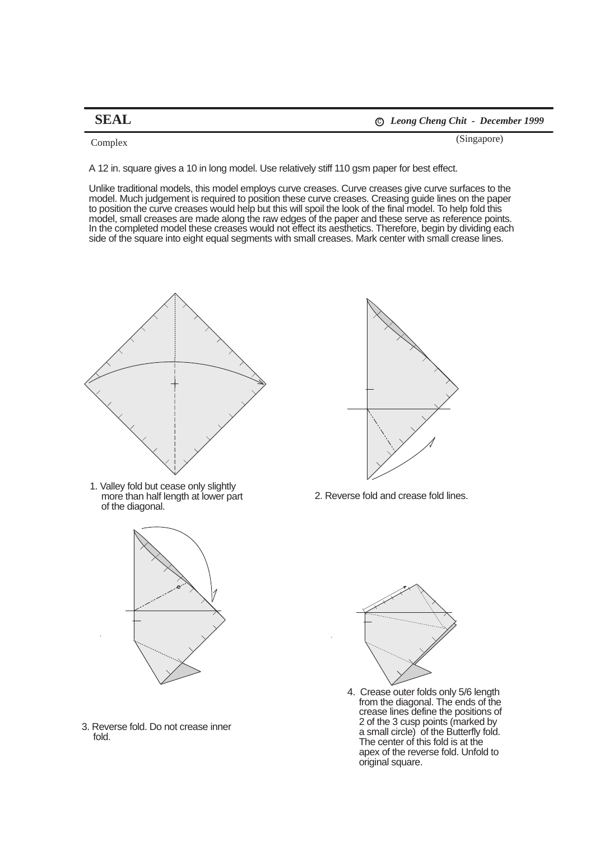**SEAL** <sup>c</sup> *Leong Cheng Chit - December 1999*

(Singapore) Complex

A 12 in. square gives a 10 in long model. Use relatively stiff 110 gsm paper for best effect.

Unlike traditional models, this model employs curve creases. Curve creases give curve surfaces to the model. Much judgement is required to position these curve creases. Creasing guide lines on the paper to position the curve creases would help but this will spoil the look of the final model. To help fold this model, small creases are made along the raw edges of the paper and these serve as reference points. In the completed model these creases would not effect its aesthetics. Therefore, begin by dividing each side of the square into eight equal segments with small creases. Mark center with small crease lines.



1. Valley fold but cease only slightly more than half length at lower part of the diagonal.



3. Reverse fold. Do not crease inner fold.



2. Reverse fold and crease fold lines.



4. Crease outer folds only 5/6 length from the diagonal. The ends of the crease lines define the positions of 2 of the 3 cusp points (marked by a small circle) of the Butterfly fold. The center of this fold is at the apex of the reverse fold. Unfold to original square.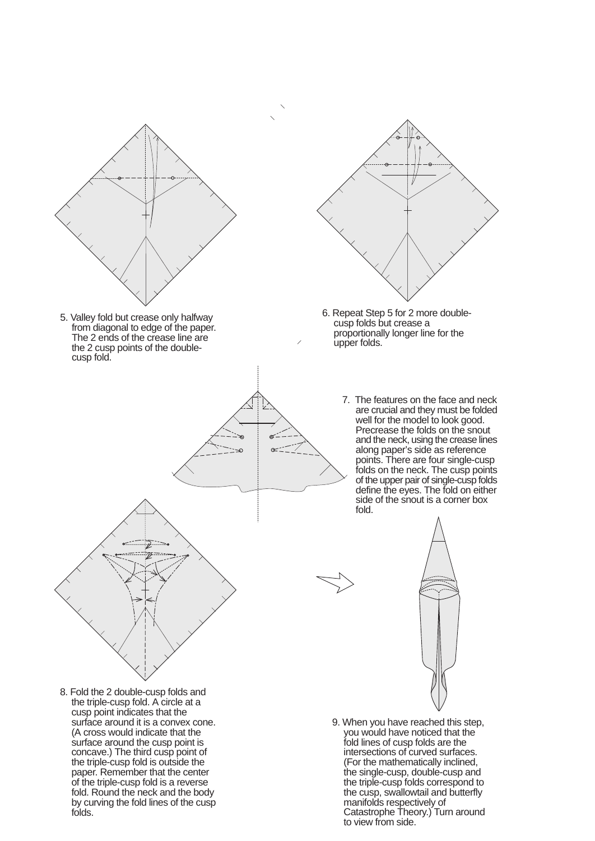



- 6. Repeat Step 5 for 2 more doublecusp folds but crease a proportionally longer line for the upper folds.
	- 7. The features on the face and neck are crucial and they must be folded well for the model to look good. Precrease the folds on the snout and the neck, using the crease lines along paper's side as reference points. There are four single-cusp folds on the neck. The cusp points of the upper pair of single-cusp folds define the eyes. The fold on either side of the snout is a corner box fold.



9. When you have reached this step, you would have noticed that the fold lines of cusp folds are the intersections of curved surfaces. (For the mathematically inclined, the single-cusp, double-cusp and the triple-cusp folds correspond to the cusp, swallowtail and butterfly manifolds respectively of Catastrophe Theory.) Turn around to view from side.

8. Fold the 2 double-cusp folds and the triple-cusp fold. A circle at a cusp point indicates that the surface around it is a convex cone. (A cross would indicate that the surface around the cusp point is concave.) The third cusp point of the triple-cusp fold is outside the paper. Remember that the center of the triple-cusp fold is a reverse fold. Round the neck and the body by curving the fold lines of the cusp folds.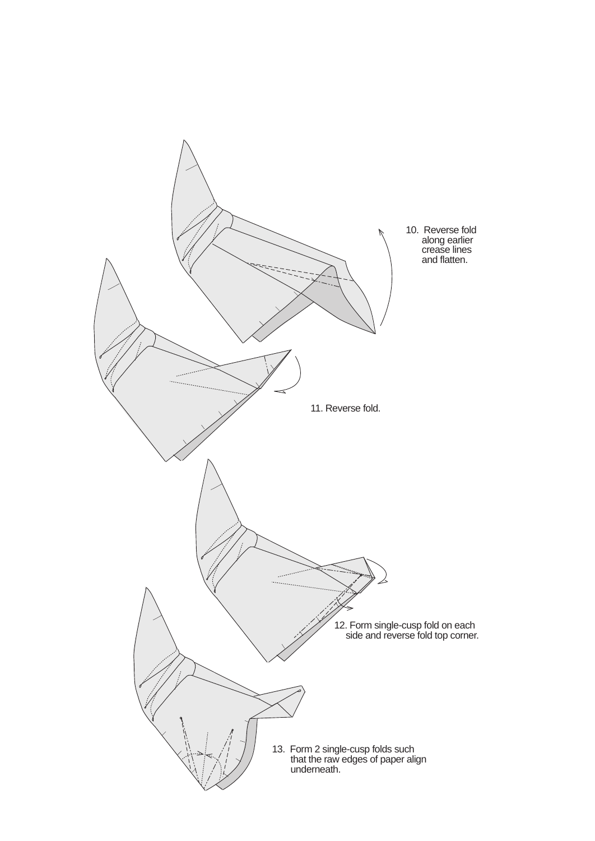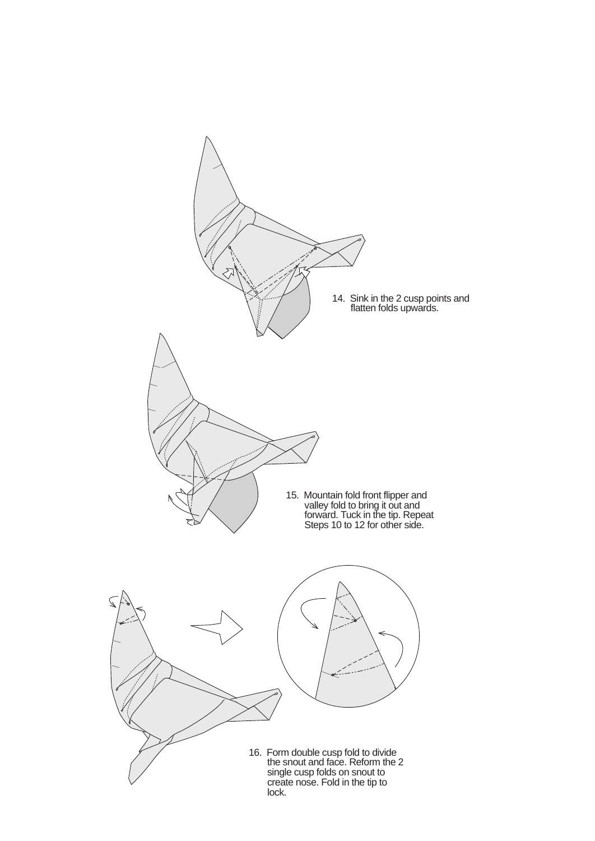